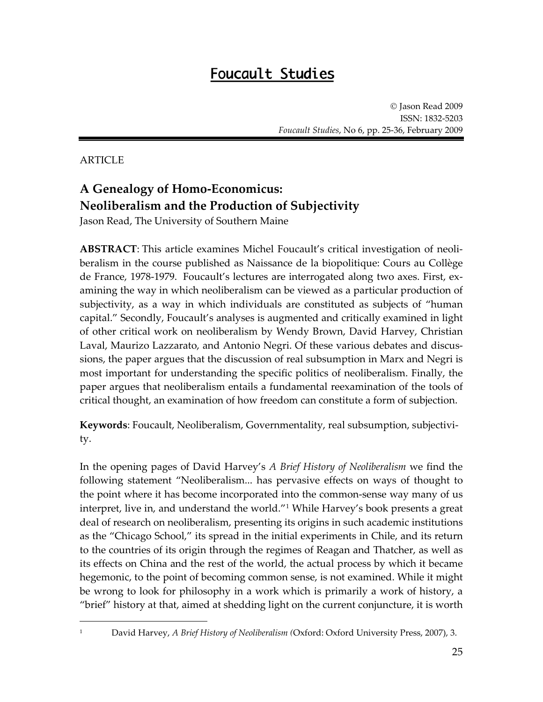## Foucault Studies

 Jason Read 2009 ISSN: 1832-5203 *Foucault Studies*, No 6, pp. 25-36, February 2009

ARTICLE

## **A Genealogy of Homo-Economicus: Neoliberalism and the Production of Subjectivity**

Jason Read, The University of Southern Maine

**ABSTRACT**: This article examines Michel Foucault's critical investigation of neoliberalism in the course published as Naissance de la biopolitique: Cours au Collège de France, 1978-1979. Foucault's lectures are interrogated along two axes. First, examining the way in which neoliberalism can be viewed as a particular production of subjectivity, as a way in which individuals are constituted as subjects of "human capital." Secondly, Foucault's analyses is augmented and critically examined in light of other critical work on neoliberalism by Wendy Brown, David Harvey, Christian Laval, Maurizo Lazzarato, and Antonio Negri. Of these various debates and discussions, the paper argues that the discussion of real subsumption in Marx and Negri is most important for understanding the specific politics of neoliberalism. Finally, the paper argues that neoliberalism entails a fundamental reexamination of the tools of critical thought, an examination of how freedom can constitute a form of subjection.

**Keywords**: Foucault, Neoliberalism, Governmentality, real subsumption, subjectivity.

In the opening pages of David Harvey's *A Brief History of Neoliberalism* we find the following statement "Neoliberalism... has pervasive effects on ways of thought to the point where it has become incorporated into the common-sense way many of us interpret, live in, and understand the world."[1](#page-0-0) While Harvey's book presents a great deal of research on neoliberalism, presenting its origins in such academic institutions as the "Chicago School," its spread in the initial experiments in Chile, and its return to the countries of its origin through the regimes of Reagan and Thatcher, as well as its effects on China and the rest of the world, the actual process by which it became hegemonic, to the point of becoming common sense, is not examined. While it might be wrong to look for philosophy in a work which is primarily a work of history, a "brief" history at that, aimed at shedding light on the current conjuncture, it is worth

<span id="page-0-0"></span><sup>1</sup> David Harvey, *A Brief History of Neoliberalism (*Oxford: Oxford University Press, 2007), 3.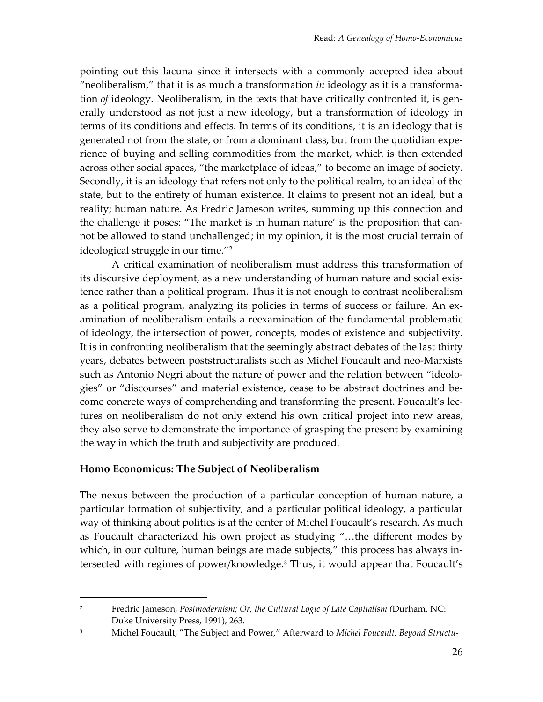pointing out this lacuna since it intersects with a commonly accepted idea about "neoliberalism," that it is as much a transformation *in* ideology as it is a transformation *of* ideology. Neoliberalism, in the texts that have critically confronted it, is generally understood as not just a new ideology, but a transformation of ideology in terms of its conditions and effects. In terms of its conditions, it is an ideology that is generated not from the state, or from a dominant class, but from the quotidian experience of buying and selling commodities from the market, which is then extended across other social spaces, "the marketplace of ideas," to become an image of society. Secondly, it is an ideology that refers not only to the political realm, to an ideal of the state, but to the entirety of human existence. It claims to present not an ideal, but a reality; human nature. As Fredric Jameson writes, summing up this connection and the challenge it poses: "The market is in human nature' is the proposition that cannot be allowed to stand unchallenged; in my opinion, it is the most crucial terrain of ideological struggle in our time."[2](#page-1-0)

A critical examination of neoliberalism must address this transformation of its discursive deployment, as a new understanding of human nature and social existence rather than a political program. Thus it is not enough to contrast neoliberalism as a political program, analyzing its policies in terms of success or failure. An examination of neoliberalism entails a reexamination of the fundamental problematic of ideology, the intersection of power, concepts, modes of existence and subjectivity. It is in confronting neoliberalism that the seemingly abstract debates of the last thirty years, debates between poststructuralists such as Michel Foucault and neo-Marxists such as Antonio Negri about the nature of power and the relation between "ideologies" or "discourses" and material existence, cease to be abstract doctrines and become concrete ways of comprehending and transforming the present. Foucault's lectures on neoliberalism do not only extend his own critical project into new areas, they also serve to demonstrate the importance of grasping the present by examining the way in which the truth and subjectivity are produced.

## **Homo Economicus: The Subject of Neoliberalism**

 $\overline{a}$ 

The nexus between the production of a particular conception of human nature, a particular formation of subjectivity, and a particular political ideology, a particular way of thinking about politics is at the center of Michel Foucault's research. As much as Foucault characterized his own project as studying "…the different modes by which, in our culture, human beings are made subjects," this process has always intersected with regimes of power/knowledge. [3](#page-1-1) Thus, it would appear that Foucault's

<span id="page-1-0"></span><sup>2</sup> Fredric Jameson, *Postmodernism; Or, the Cultural Logic of Late Capitalism (*Durham, NC: Duke University Press, 1991), 263.

<span id="page-1-1"></span><sup>3</sup> Michel Foucault, "The Subject and Power," Afterward to *Michel Foucault: Beyond Structu-*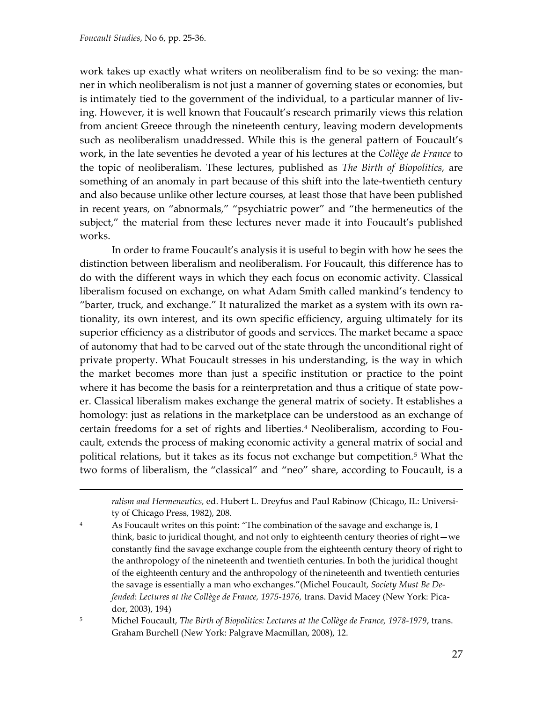$\overline{a}$ 

work takes up exactly what writers on neoliberalism find to be so vexing: the manner in which neoliberalism is not just a manner of governing states or economies, but is intimately tied to the government of the individual, to a particular manner of living. However, it is well known that Foucault's research primarily views this relation from ancient Greece through the nineteenth century, leaving modern developments such as neoliberalism unaddressed. While this is the general pattern of Foucault's work, in the late seventies he devoted a year of his lectures at the *Collège de France* to the topic of neoliberalism. These lectures, published as *The Birth of Biopolitics,* are something of an anomaly in part because of this shift into the late-twentieth century and also because unlike other lecture courses, at least those that have been published in recent years, on "abnormals," "psychiatric power" and "the hermeneutics of the subject," the material from these lectures never made it into Foucault's published works.

In order to frame Foucault's analysis it is useful to begin with how he sees the distinction between liberalism and neoliberalism. For Foucault, this difference has to do with the different ways in which they each focus on economic activity. Classical liberalism focused on exchange, on what Adam Smith called mankind's tendency to "barter, truck, and exchange." It naturalized the market as a system with its own rationality, its own interest, and its own specific efficiency, arguing ultimately for its superior efficiency as a distributor of goods and services. The market became a space of autonomy that had to be carved out of the state through the unconditional right of private property. What Foucault stresses in his understanding, is the way in which the market becomes more than just a specific institution or practice to the point where it has become the basis for a reinterpretation and thus a critique of state power. Classical liberalism makes exchange the general matrix of society. It establishes a homology: just as relations in the marketplace can be understood as an exchange of certain freedoms for a set of rights and liberties.[4](#page-2-0) Neoliberalism, according to Foucault, extends the process of making economic activity a general matrix of social and political relations, but it takes as its focus not exchange but competition.<sup>[5](#page-2-1)</sup> What the two forms of liberalism, the "classical" and "neo" share, according to Foucault, is a

*ralism and Hermeneutics,* ed. Hubert L. Dreyfus and Paul Rabinow (Chicago, IL: University of Chicago Press, 1982), 208.

- <span id="page-2-0"></span><sup>4</sup> As Foucault writes on this point: "The combination of the savage and exchange is, I think, basic to juridical thought, and not only to eighteenth century theories of right—we constantly find the savage exchange couple from the eighteenth century theory of right to the anthropology of the nineteenth and twentieth centuries. In both the juridical thought of the eighteenth century and the anthropology of the nineteenth and twentieth centuries the savage is essentially a man who exchanges."(Michel Foucault, *Society Must Be Defended*: *Lectures at the Collège de France, 1975-1976,* trans. David Macey (New York: Picador, 2003), 194)
- <span id="page-2-1"></span><sup>5</sup> Michel Foucault, *The Birth of Biopolitics: Lectures at the Collège de France, 1978-1979*, trans. Graham Burchell (New York: Palgrave Macmillan, 2008), 12.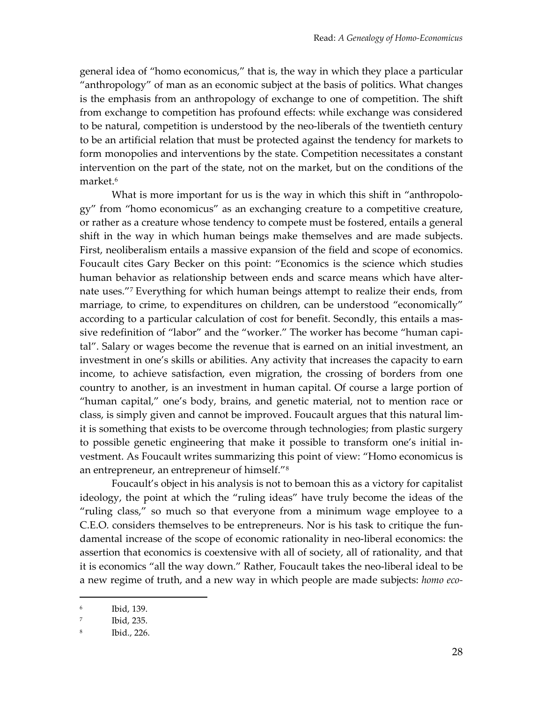general idea of "homo economicus," that is, the way in which they place a particular "anthropology" of man as an economic subject at the basis of politics. What changes is the emphasis from an anthropology of exchange to one of competition. The shift from exchange to competition has profound effects: while exchange was considered to be natural, competition is understood by the neo-liberals of the twentieth century to be an artificial relation that must be protected against the tendency for markets to form monopolies and interventions by the state. Competition necessitates a constant intervention on the part of the state, not on the market, but on the conditions of the market.<sup>6</sup>

What is more important for us is the way in which this shift in "anthropology" from "homo economicus" as an exchanging creature to a competitive creature, or rather as a creature whose tendency to compete must be fostered, entails a general shift in the way in which human beings make themselves and are made subjects. First, neoliberalism entails a massive expansion of the field and scope of economics. Foucault cites Gary Becker on this point: "Economics is the science which studies human behavior as relationship between ends and scarce means which have alter-nate uses."<sup>[7](#page-3-1)</sup> Everything for which human beings attempt to realize their ends, from marriage, to crime, to expenditures on children, can be understood "economically" according to a particular calculation of cost for benefit. Secondly, this entails a massive redefinition of "labor" and the "worker." The worker has become "human capital". Salary or wages become the revenue that is earned on an initial investment, an investment in one's skills or abilities. Any activity that increases the capacity to earn income, to achieve satisfaction, even migration, the crossing of borders from one country to another, is an investment in human capital. Of course a large portion of "human capital," one's body, brains, and genetic material, not to mention race or class, is simply given and cannot be improved. Foucault argues that this natural limit is something that exists to be overcome through technologies; from plastic surgery to possible genetic engineering that make it possible to transform one's initial investment. As Foucault writes summarizing this point of view: "Homo economicus is an entrepreneur, an entrepreneur of himself.["8](#page-3-2)

Foucault's object in his analysis is not to bemoan this as a victory for capitalist ideology, the point at which the "ruling ideas" have truly become the ideas of the "ruling class," so much so that everyone from a minimum wage employee to a C.E.O. considers themselves to be entrepreneurs. Nor is his task to critique the fundamental increase of the scope of economic rationality in neo-liberal economics: the assertion that economics is coextensive with all of society, all of rationality, and that it is economics "all the way down." Rather, Foucault takes the neo-liberal ideal to be a new regime of truth, and a new way in which people are made subjects: *homo eco-*

<span id="page-3-0"></span><sup>6</sup> Ibid, 139.

<span id="page-3-1"></span><sup>7</sup> Ibid, 235.

<span id="page-3-2"></span>Ibid., 226.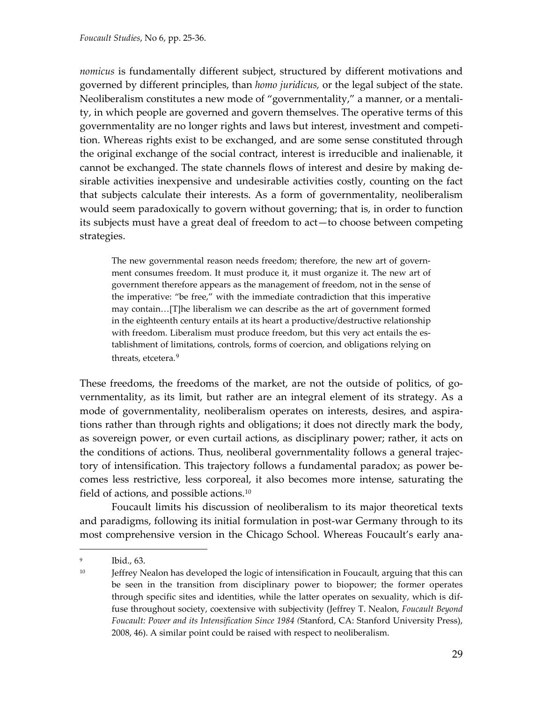*nomicus* is fundamentally different subject, structured by different motivations and governed by different principles, than *homo juridicus,* or the legal subject of the state. Neoliberalism constitutes a new mode of "governmentality," a manner, or a mentality, in which people are governed and govern themselves. The operative terms of this governmentality are no longer rights and laws but interest, investment and competition. Whereas rights exist to be exchanged, and are some sense constituted through the original exchange of the social contract, interest is irreducible and inalienable, it cannot be exchanged. The state channels flows of interest and desire by making desirable activities inexpensive and undesirable activities costly, counting on the fact that subjects calculate their interests. As a form of governmentality, neoliberalism would seem paradoxically to govern without governing; that is, in order to function its subjects must have a great deal of freedom to act—to choose between competing strategies.

The new governmental reason needs freedom; therefore, the new art of government consumes freedom. It must produce it, it must organize it. The new art of government therefore appears as the management of freedom, not in the sense of the imperative: "be free," with the immediate contradiction that this imperative may contain…[T]he liberalism we can describe as the art of government formed in the eighteenth century entails at its heart a productive/destructive relationship with freedom. Liberalism must produce freedom, but this very act entails the establishment of limitations, controls, forms of coercion, and obligations relying on threats, etcetera.<sup>[9](#page-4-0)</sup>

These freedoms, the freedoms of the market, are not the outside of politics, of governmentality, as its limit, but rather are an integral element of its strategy. As a mode of governmentality, neoliberalism operates on interests, desires, and aspirations rather than through rights and obligations; it does not directly mark the body, as sovereign power, or even curtail actions, as disciplinary power; rather, it acts on the conditions of actions. Thus, neoliberal governmentality follows a general trajectory of intensification. This trajectory follows a fundamental paradox; as power becomes less restrictive, less corporeal, it also becomes more intense, saturating the field of actions, and possible actions[.10](#page-4-1)

Foucault limits his discussion of neoliberalism to its major theoretical texts and paradigms, following its initial formulation in post-war Germany through to its most comprehensive version in the Chicago School. Whereas Foucault's early ana-

<span id="page-4-0"></span><sup>&</sup>lt;sup>9</sup> Ibid., 63.

<span id="page-4-1"></span><sup>&</sup>lt;sup>10</sup> Jeffrey Nealon has developed the logic of intensification in Foucault, arguing that this can be seen in the transition from disciplinary power to biopower; the former operates through specific sites and identities, while the latter operates on sexuality, which is diffuse throughout society, coextensive with subjectivity (Jeffrey T. Nealon, *Foucault Beyond Foucault: Power and its Intensification Since 1984 (*Stanford, CA: Stanford University Press), 2008, 46). A similar point could be raised with respect to neoliberalism.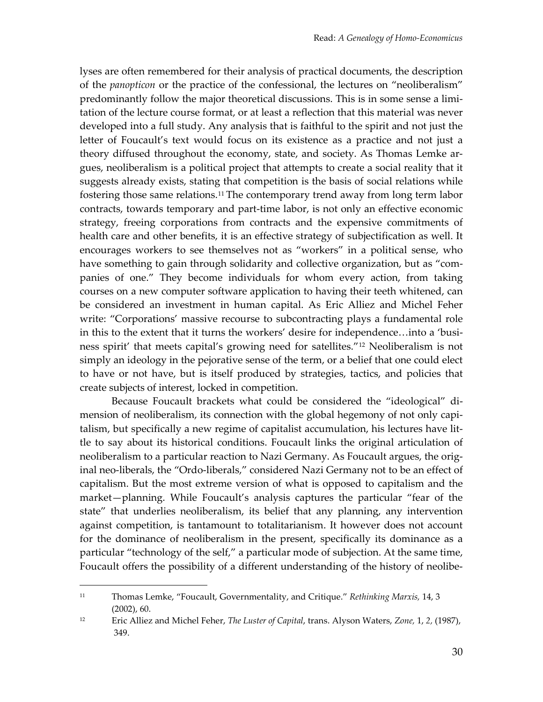lyses are often remembered for their analysis of practical documents, the description of the *panopticon* or the practice of the confessional, the lectures on "neoliberalism" predominantly follow the major theoretical discussions. This is in some sense a limitation of the lecture course format, or at least a reflection that this material was never developed into a full study. Any analysis that is faithful to the spirit and not just the letter of Foucault's text would focus on its existence as a practice and not just a theory diffused throughout the economy, state, and society. As Thomas Lemke argues, neoliberalism is a political project that attempts to create a social reality that it suggests already exists, stating that competition is the basis of social relations while fostering those same relations.[11](#page-5-0) The contemporary trend away from long term labor contracts, towards temporary and part-time labor, is not only an effective economic strategy, freeing corporations from contracts and the expensive commitments of health care and other benefits, it is an effective strategy of subjectification as well. It encourages workers to see themselves not as "workers" in a political sense, who have something to gain through solidarity and collective organization, but as "companies of one." They become individuals for whom every action, from taking courses on a new computer software application to having their teeth whitened, can be considered an investment in human capital. As Eric Alliez and Michel Feher write: "Corporations' massive recourse to subcontracting plays a fundamental role in this to the extent that it turns the workers' desire for independence…into a 'business spirit' that meets capital's growing need for satellites."[12](#page-5-1) Neoliberalism is not simply an ideology in the pejorative sense of the term, or a belief that one could elect to have or not have, but is itself produced by strategies, tactics, and policies that create subjects of interest, locked in competition.

Because Foucault brackets what could be considered the "ideological" dimension of neoliberalism, its connection with the global hegemony of not only capitalism, but specifically a new regime of capitalist accumulation, his lectures have little to say about its historical conditions. Foucault links the original articulation of neoliberalism to a particular reaction to Nazi Germany. As Foucault argues, the original neo-liberals, the "Ordo-liberals," considered Nazi Germany not to be an effect of capitalism. But the most extreme version of what is opposed to capitalism and the market—planning. While Foucault's analysis captures the particular "fear of the state" that underlies neoliberalism, its belief that any planning, any intervention against competition, is tantamount to totalitarianism. It however does not account for the dominance of neoliberalism in the present, specifically its dominance as a particular "technology of the self," a particular mode of subjection. At the same time, Foucault offers the possibility of a different understanding of the history of neolibe-

<span id="page-5-0"></span><sup>11</sup> Thomas Lemke, "Foucault, Governmentality, and Critique." *Rethinking Marxis,* 14, 3 (2002), 60.

<span id="page-5-1"></span><sup>12</sup> Eric Alliez and Michel Feher, *The Luster of Capital*, trans. Alyson Waters, *Zone,* 1, *2,* (1987), 349.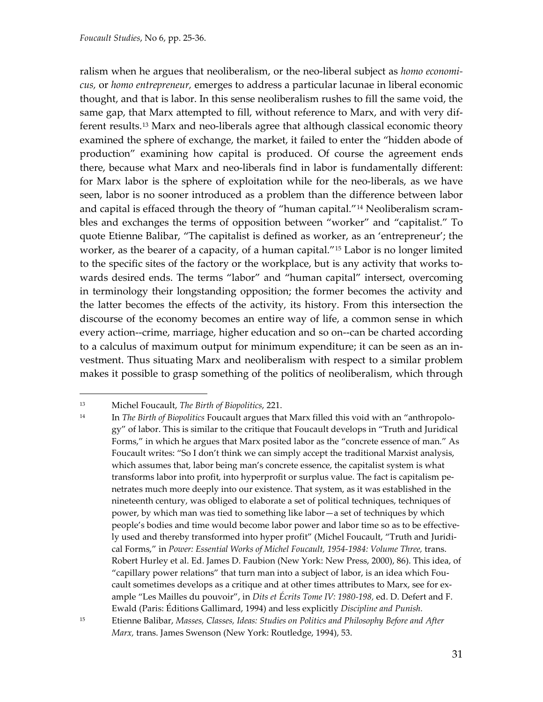ralism when he argues that neoliberalism, or the neo-liberal subject as *homo economicus,* or *homo entrepreneur,* emerges to address a particular lacunae in liberal economic thought, and that is labor. In this sense neoliberalism rushes to fill the same void, the same gap, that Marx attempted to fill, without reference to Marx, and with very different results.[13](#page-6-0) Marx and neo-liberals agree that although classical economic theory examined the sphere of exchange, the market, it failed to enter the "hidden abode of production" examining how capital is produced. Of course the agreement ends there, because what Marx and neo-liberals find in labor is fundamentally different: for Marx labor is the sphere of exploitation while for the neo-liberals, as we have seen, labor is no sooner introduced as a problem than the difference between labor and capital is effaced through the theory of "human capital.["14](#page-6-1) Neoliberalism scrambles and exchanges the terms of opposition between "worker" and "capitalist." To quote Etienne Balibar, "The capitalist is defined as worker, as an 'entrepreneur'; the worker, as the bearer of a capacity, of a human capital."<sup>[15](#page-6-2)</sup> Labor is no longer limited to the specific sites of the factory or the workplace, but is any activity that works towards desired ends. The terms "labor" and "human capital" intersect, overcoming in terminology their longstanding opposition; the former becomes the activity and the latter becomes the effects of the activity, its history. From this intersection the discourse of the economy becomes an entire way of life, a common sense in which every action--crime, marriage, higher education and so on--can be charted according to a calculus of maximum output for minimum expenditure; it can be seen as an investment. Thus situating Marx and neoliberalism with respect to a similar problem makes it possible to grasp something of the politics of neoliberalism, which through

<span id="page-6-0"></span><sup>13</sup> Michel Foucault, *The Birth of Biopolitics*, 221.

<span id="page-6-1"></span><sup>14</sup> In *The Birth of Biopolitics* Foucault argues that Marx filled this void with an "anthropology" of labor. This is similar to the critique that Foucault develops in "Truth and Juridical Forms," in which he argues that Marx posited labor as the "concrete essence of man." As Foucault writes: "So I don't think we can simply accept the traditional Marxist analysis, which assumes that, labor being man's concrete essence, the capitalist system is what transforms labor into profit, into hyperprofit or surplus value. The fact is capitalism penetrates much more deeply into our existence. That system, as it was established in the nineteenth century, was obliged to elaborate a set of political techniques, techniques of power, by which man was tied to something like labor—a set of techniques by which people's bodies and time would become labor power and labor time so as to be effectively used and thereby transformed into hyper profit" (Michel Foucault, "Truth and Juridical Forms," in *Power: Essential Works of Michel Foucault, 1954-1984: Volume Three,* trans. Robert Hurley et al. Ed. James D. Faubion (New York: New Press, 2000), 86). This idea, of "capillary power relations" that turn man into a subject of labor, is an idea which Foucault sometimes develops as a critique and at other times attributes to Marx, see for example "Les Mailles du pouvoir", in *Dits et Écrits Tome IV: 1980-198,* ed. D. Defert and F. Ewald (Paris: Éditions Gallimard, 1994) and less explicitly *Discipline and Punish.*  <sup>15</sup> Etienne Balibar, *Masses, Classes, Ideas: Studies on Politics and Philosophy Before and After*

<span id="page-6-2"></span>*Marx,* trans. James Swenson (New York: Routledge, 1994), 53.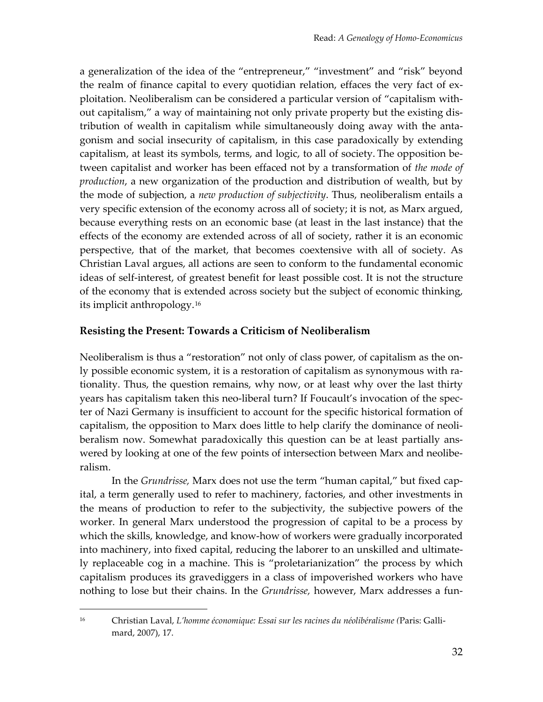a generalization of the idea of the "entrepreneur," "investment" and "risk" beyond the realm of finance capital to every quotidian relation, effaces the very fact of exploitation. Neoliberalism can be considered a particular version of "capitalism without capitalism," a way of maintaining not only private property but the existing distribution of wealth in capitalism while simultaneously doing away with the antagonism and social insecurity of capitalism, in this case paradoxically by extending capitalism, at least its symbols, terms, and logic, to all of society. The opposition between capitalist and worker has been effaced not by a transformation of *the mode of production*, a new organization of the production and distribution of wealth, but by the mode of subjection, a *new production of subjectivity*. Thus, neoliberalism entails a very specific extension of the economy across all of society; it is not, as Marx argued, because everything rests on an economic base (at least in the last instance) that the effects of the economy are extended across of all of society, rather it is an economic perspective, that of the market, that becomes coextensive with all of society. As Christian Laval argues, all actions are seen to conform to the fundamental economic ideas of self-interest, of greatest benefit for least possible cost. It is not the structure of the economy that is extended across society but the subject of economic thinking, its implicit anthropology.[16](#page-7-0)

## **Resisting the Present: Towards a Criticism of Neoliberalism**

Neoliberalism is thus a "restoration" not only of class power, of capitalism as the only possible economic system, it is a restoration of capitalism as synonymous with rationality. Thus, the question remains, why now, or at least why over the last thirty years has capitalism taken this neo-liberal turn? If Foucault's invocation of the specter of Nazi Germany is insufficient to account for the specific historical formation of capitalism, the opposition to Marx does little to help clarify the dominance of neoliberalism now. Somewhat paradoxically this question can be at least partially answered by looking at one of the few points of intersection between Marx and neoliberalism.

In the *Grundrisse,* Marx does not use the term "human capital," but fixed capital, a term generally used to refer to machinery, factories, and other investments in the means of production to refer to the subjectivity, the subjective powers of the worker. In general Marx understood the progression of capital to be a process by which the skills, knowledge, and know-how of workers were gradually incorporated into machinery, into fixed capital, reducing the laborer to an unskilled and ultimately replaceable cog in a machine. This is "proletarianization" the process by which capitalism produces its gravediggers in a class of impoverished workers who have nothing to lose but their chains. In the *Grundrisse,* however, Marx addresses a fun-

<span id="page-7-0"></span><sup>16</sup> Christian Laval, *L'homme économique: Essai sur les racines du néolibéralisme (*Paris: Gallimard, 2007), 17.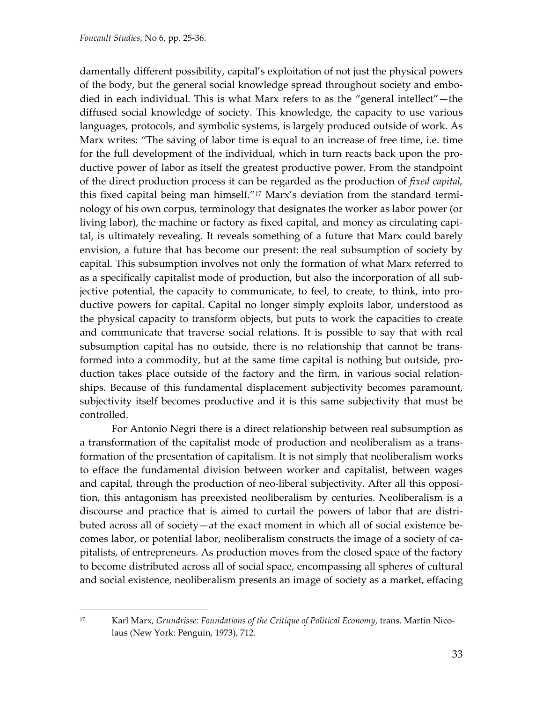damentally different possibility, capital's exploitation of not just the physical powers of the body, but the general social knowledge spread throughout society and embodied in each individual. This is what Marx refers to as the "general intellect"—the diffused social knowledge of society. This knowledge, the capacity to use various languages, protocols, and symbolic systems, is largely produced outside of work. As Marx writes: "The saving of labor time is equal to an increase of free time, i.e. time for the full development of the individual, which in turn reacts back upon the productive power of labor as itself the greatest productive power. From the standpoint of the direct production process it can be regarded as the production of *fixed capital,*  this fixed capital being man himself."[17](#page-8-0) Marx's deviation from the standard terminology of his own corpus, terminology that designates the worker as labor power (or living labor), the machine or factory as fixed capital, and money as circulating capital, is ultimately revealing. It reveals something of a future that Marx could barely envision, a future that has become our present: the real subsumption of society by capital. This subsumption involves not only the formation of what Marx referred to as a specifically capitalist mode of production, but also the incorporation of all subjective potential, the capacity to communicate, to feel, to create, to think, into productive powers for capital. Capital no longer simply exploits labor, understood as the physical capacity to transform objects, but puts to work the capacities to create and communicate that traverse social relations. It is possible to say that with real subsumption capital has no outside, there is no relationship that cannot be transformed into a commodity, but at the same time capital is nothing but outside, production takes place outside of the factory and the firm, in various social relationships. Because of this fundamental displacement subjectivity becomes paramount, subjectivity itself becomes productive and it is this same subjectivity that must be controlled.

For Antonio Negri there is a direct relationship between real subsumption as a transformation of the capitalist mode of production and neoliberalism as a transformation of the presentation of capitalism. It is not simply that neoliberalism works to efface the fundamental division between worker and capitalist, between wages and capital, through the production of neo-liberal subjectivity. After all this opposition, this antagonism has preexisted neoliberalism by centuries. Neoliberalism is a discourse and practice that is aimed to curtail the powers of labor that are distributed across all of society—at the exact moment in which all of social existence becomes labor, or potential labor, neoliberalism constructs the image of a society of capitalists, of entrepreneurs. As production moves from the closed space of the factory to become distributed across all of social space, encompassing all spheres of cultural and social existence, neoliberalism presents an image of society as a market, effacing

 $\overline{a}$ 

<span id="page-8-0"></span><sup>17</sup> Karl Marx, *Grundrisse: Foundations of the Critique of Political Economy*, trans. Martin Nicolaus (New York: Penguin, 1973), 712.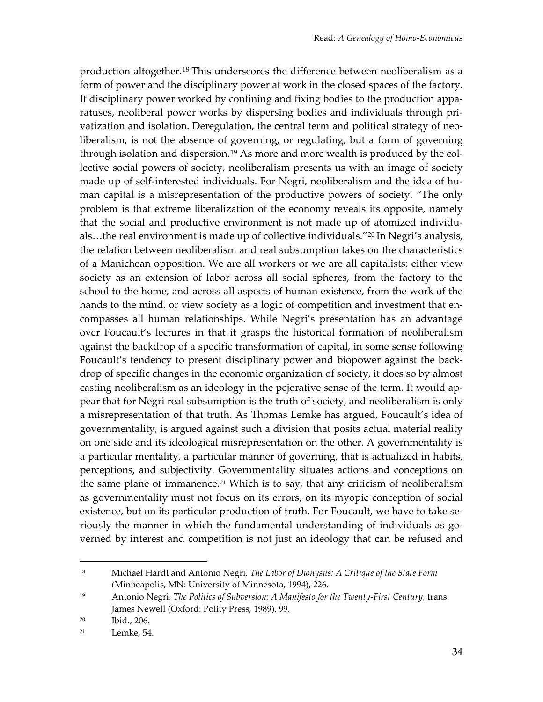production altogether.[18](#page-9-0) This underscores the difference between neoliberalism as a form of power and the disciplinary power at work in the closed spaces of the factory. If disciplinary power worked by confining and fixing bodies to the production apparatuses, neoliberal power works by dispersing bodies and individuals through privatization and isolation. Deregulation, the central term and political strategy of neoliberalism, is not the absence of governing, or regulating, but a form of governing through isolation and dispersion.[19](#page-9-1) As more and more wealth is produced by the collective social powers of society, neoliberalism presents us with an image of society made up of self-interested individuals. For Negri, neoliberalism and the idea of human capital is a misrepresentation of the productive powers of society. "The only problem is that extreme liberalization of the economy reveals its opposite, namely that the social and productive environment is not made up of atomized individuals…the real environment is made up of collective individuals."[20](#page-9-2) In Negri's analysis, the relation between neoliberalism and real subsumption takes on the characteristics of a Manichean opposition. We are all workers or we are all capitalists: either view society as an extension of labor across all social spheres, from the factory to the school to the home, and across all aspects of human existence, from the work of the hands to the mind, or view society as a logic of competition and investment that encompasses all human relationships. While Negri's presentation has an advantage over Foucault's lectures in that it grasps the historical formation of neoliberalism against the backdrop of a specific transformation of capital, in some sense following Foucault's tendency to present disciplinary power and biopower against the backdrop of specific changes in the economic organization of society, it does so by almost casting neoliberalism as an ideology in the pejorative sense of the term. It would appear that for Negri real subsumption is the truth of society, and neoliberalism is only a misrepresentation of that truth. As Thomas Lemke has argued, Foucault's idea of governmentality, is argued against such a division that posits actual material reality on one side and its ideological misrepresentation on the other. A governmentality is a particular mentality, a particular manner of governing, that is actualized in habits, perceptions, and subjectivity. Governmentality situates actions and conceptions on the same plane of immanence.<sup>[21](#page-9-3)</sup> Which is to say, that any criticism of neoliberalism as governmentality must not focus on its errors, on its myopic conception of social existence, but on its particular production of truth. For Foucault, we have to take seriously the manner in which the fundamental understanding of individuals as governed by interest and competition is not just an ideology that can be refused and

<span id="page-9-0"></span><sup>18</sup> Michael Hardt and Antonio Negri, *The Labor of Dionysus: A Critique of the State Form (*Minneapolis, MN: University of Minnesota, 1994), 226.

<span id="page-9-1"></span><sup>19</sup> Antonio Negri, *The Politics of Subversion: A Manifesto for the Twenty-First Century*, trans. James Newell (Oxford: Polity Press, 1989), 99.

<span id="page-9-2"></span><sup>20</sup> Ibid., 206.

<span id="page-9-3"></span><sup>21</sup> Lemke, 54.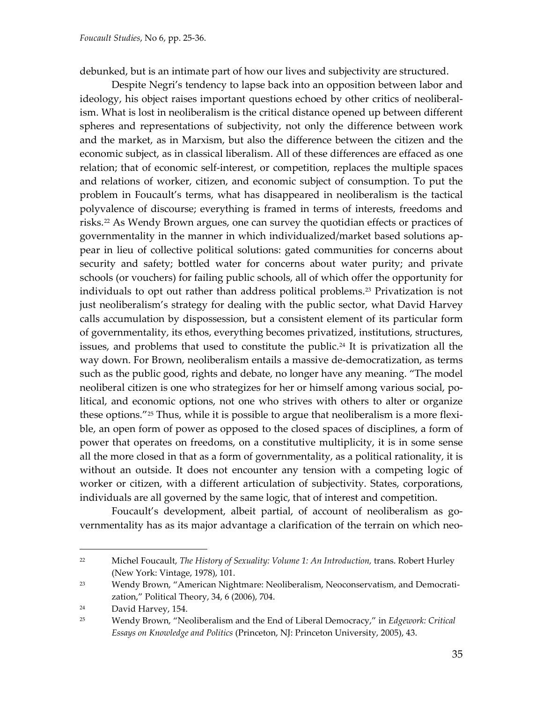debunked, but is an intimate part of how our lives and subjectivity are structured.

Despite Negri's tendency to lapse back into an opposition between labor and ideology, his object raises important questions echoed by other critics of neoliberalism. What is lost in neoliberalism is the critical distance opened up between different spheres and representations of subjectivity, not only the difference between work and the market, as in Marxism, but also the difference between the citizen and the economic subject, as in classical liberalism. All of these differences are effaced as one relation; that of economic self-interest, or competition, replaces the multiple spaces and relations of worker, citizen, and economic subject of consumption. To put the problem in Foucault's terms, what has disappeared in neoliberalism is the tactical polyvalence of discourse; everything is framed in terms of interests, freedoms and risks[.22](#page-10-0) As Wendy Brown argues, one can survey the quotidian effects or practices of governmentality in the manner in which individualized/market based solutions appear in lieu of collective political solutions: gated communities for concerns about security and safety; bottled water for concerns about water purity; and private schools (or vouchers) for failing public schools, all of which offer the opportunity for individuals to opt out rather than address political problems.[23](#page-10-1) Privatization is not just neoliberalism's strategy for dealing with the public sector, what David Harvey calls accumulation by dispossession, but a consistent element of its particular form of governmentality, its ethos, everything becomes privatized, institutions, structures, issues, and problems that used to constitute the public.<sup>[24](#page-10-2)</sup> It is privatization all the way down. For Brown, neoliberalism entails a massive de-democratization, as terms such as the public good, rights and debate, no longer have any meaning. "The model neoliberal citizen is one who strategizes for her or himself among various social, political, and economic options, not one who strives with others to alter or organize these options."[25](#page-10-3) Thus, while it is possible to argue that neoliberalism is a more flexible, an open form of power as opposed to the closed spaces of disciplines, a form of power that operates on freedoms, on a constitutive multiplicity, it is in some sense all the more closed in that as a form of governmentality, as a political rationality, it is without an outside. It does not encounter any tension with a competing logic of worker or citizen, with a different articulation of subjectivity. States, corporations, individuals are all governed by the same logic, that of interest and competition.

Foucault's development, albeit partial, of account of neoliberalism as governmentality has as its major advantage a clarification of the terrain on which neo-

<span id="page-10-0"></span><sup>22</sup> Michel Foucault, *The History of Sexuality: Volume 1: An Introduction,* trans. Robert Hurley (New York: Vintage, 1978), 101.

<span id="page-10-1"></span><sup>&</sup>lt;sup>23</sup> Wendy Brown, "American Nightmare: Neoliberalism, Neoconservatism, and Democratization," Political Theory, 34, 6 (2006), 704.

<span id="page-10-2"></span><sup>24</sup> David Harvey, 154.

<span id="page-10-3"></span><sup>25</sup> Wendy Brown, "Neoliberalism and the End of Liberal Democracy," in *Edgework: Critical Essays on Knowledge and Politics* (Princeton, NJ: Princeton University, 2005), 43.